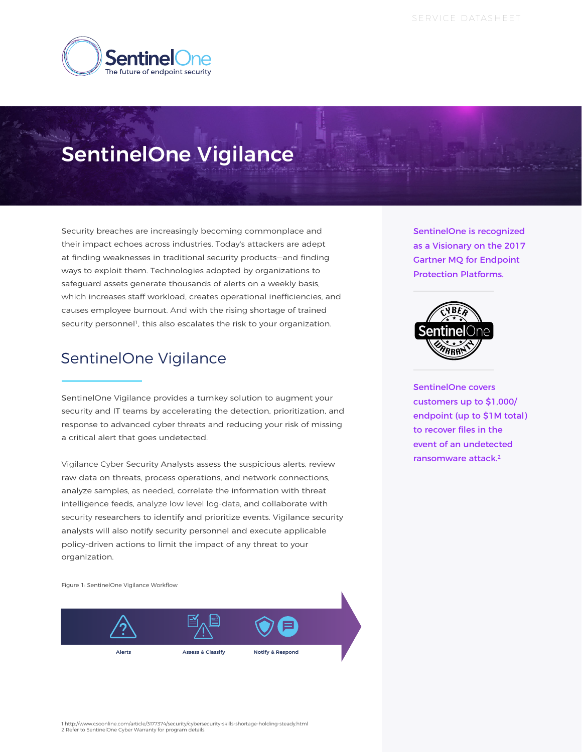

# SentinelOne Vigilance

Security breaches are increasingly becoming commonplace and their impact echoes across industries. Today's attackers are adept at finding weaknesses in traditional security products—and finding ways to exploit them. Technologies adopted by organizations to safeguard assets generate thousands of alerts on a weekly basis, which increases staff workload, creates operational inefficiencies, and causes employee burnout. And with the rising shortage of trained security personnel<sup>1</sup>, this also escalates the risk to your organization.

## SentinelOne Vigilance

SentinelOne Vigilance provides a turnkey solution to augment your security and IT teams by accelerating the detection, prioritization, and response to advanced cyber threats and reducing your risk of missing a critical alert that goes undetected.

Vigilance Cyber Security Analysts assess the suspicious alerts, review raw data on threats, process operations, and network connections, analyze samples, as needed, correlate the information with threat intelligence feeds, analyze low level log-data, and collaborate with security researchers to identify and prioritize events. Vigilance security analysts will also notify security personnel and execute applicable policy-driven actions to limit the impact of any threat to your organization.

Figure 1: SentinelOne Vigilance Workflow



SentinelOne is recognized as a Visionary on the 2017 Gartner MQ for Endpoint Protection Platforms.



SentinelOne covers customers up to \$1,000/ endpoint (up to \$1M total) to recover files in the event of an undetected ransomware attack.<sup>2</sup>

1 http://www.csoonline.com/article/3177374/security/cybersecurity-skills-shortage-holding-steady.html 2 Refer to SentinelOne Cyber Warranty for program details.